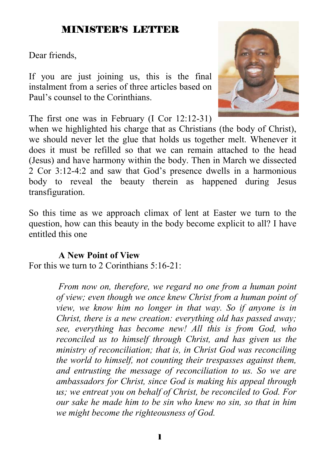## MINISTER'S LETTER

Dear friends,

If you are just joining us, this is the final instalment from a series of three articles based on Paul's counsel to the Corinthians.

The first one was in February (I Cor 12:12-31)

when we highlighted his charge that as Christians (the body of Christ), we should never let the glue that holds us together melt. Whenever it does it must be refilled so that we can remain attached to the head (Jesus) and have harmony within the body. Then in March we dissected 2 Cor 3:12-4:2 and saw that God's presence dwells in a harmonious body to reveal the beauty therein as happened during Jesus transfiguration.

So this time as we approach climax of lent at Easter we turn to the question, how can this beauty in the body become explicit to all? I have entitled this one

#### **A New Point of View**

For this we turn to 2 Corinthians  $5.16-21$ .

 *From now on, therefore, we regard no one from a human point of view; even though we once knew Christ from a human point of view, we know him no longer in that way. So if anyone is in Christ, there is a new creation: everything old has passed away; see, everything has become new! All this is from God, who reconciled us to himself through Christ, and has given us the ministry of reconciliation; that is, in Christ God was reconciling the world to himself, not counting their trespasses against them, and entrusting the message of reconciliation to us. So we are ambassadors for Christ, since God is making his appeal through us; we entreat you on behalf of Christ, be reconciled to God. For our sake he made him to be sin who knew no sin, so that in him we might become the righteousness of God.* 

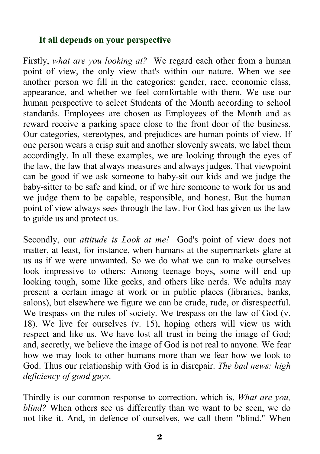#### **It all depends on your perspective**

Firstly, *what are you looking at?* We regard each other from a human point of view, the only view that's within our nature. When we see another person we fill in the categories: gender, race, economic class, appearance, and whether we feel comfortable with them. We use our human perspective to select Students of the Month according to school standards. Employees are chosen as Employees of the Month and as reward receive a parking space close to the front door of the business. Our categories, stereotypes, and prejudices are human points of view. If one person wears a crisp suit and another slovenly sweats, we label them accordingly. In all these examples, we are looking through the eyes of the law, the law that always measures and always judges. That viewpoint can be good if we ask someone to baby-sit our kids and we judge the baby-sitter to be safe and kind, or if we hire someone to work for us and we judge them to be capable, responsible, and honest. But the human point of view always sees through the law. For God has given us the law to guide us and protect us.

Secondly, our *attitude is Look at me!* God's point of view does not matter, at least, for instance, when humans at the supermarkets glare at us as if we were unwanted. So we do what we can to make ourselves look impressive to others: Among teenage boys, some will end up looking tough, some like geeks, and others like nerds. We adults may present a certain image at work or in public places (libraries, banks, salons), but elsewhere we figure we can be crude, rude, or disrespectful. We trespass on the rules of society. We trespass on the law of God (v. 18). We live for ourselves (v. 15), hoping others will view us with respect and like us. We have lost all trust in being the image of God; and, secretly, we believe the image of God is not real to anyone. We fear how we may look to other humans more than we fear how we look to God. Thus our relationship with God is in disrepair. *The bad news: high deficiency of good guys.* 

Thirdly is our common response to correction, which is, *What are you, blind?* When others see us differently than we want to be seen, we do not like it. And, in defence of ourselves, we call them "blind." When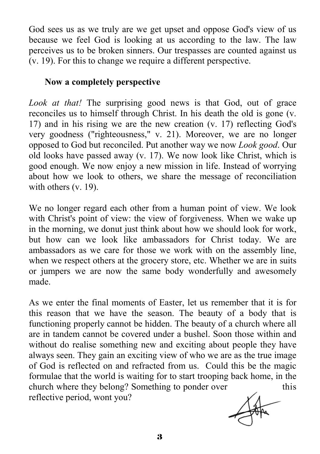God sees us as we truly are we get upset and oppose God's view of us because we feel God is looking at us according to the law. The law perceives us to be broken sinners. Our trespasses are counted against us (v. 19). For this to change we require a different perspective.

#### **Now a completely perspective**

*Look at that!* The surprising good news is that God, out of grace reconciles us to himself through Christ. In his death the old is gone (v. 17) and in his rising we are the new creation (v. 17) reflecting God's very goodness ("righteousness," v. 21). Moreover, we are no longer opposed to God but reconciled. Put another way we now *Look good*. Our old looks have passed away (v. 17). We now look like Christ, which is good enough. We now enjoy a new mission in life. Instead of worrying about how we look to others, we share the message of reconciliation with others (v. 19).

We no longer regard each other from a human point of view. We look with Christ's point of view: the view of forgiveness. When we wake up in the morning, we donut just think about how we should look for work, but how can we look like ambassadors for Christ today. We are ambassadors as we care for those we work with on the assembly line, when we respect others at the grocery store, etc. Whether we are in suits or jumpers we are now the same body wonderfully and awesomely made.

As we enter the final moments of Easter, let us remember that it is for this reason that we have the season. The beauty of a body that is functioning properly cannot be hidden. The beauty of a church where all are in tandem cannot be covered under a bushel. Soon those within and without do realise something new and exciting about people they have always seen. They gain an exciting view of who we are as the true image of God is reflected on and refracted from us. Could this be the magic formulae that the world is waiting for to start trooping back home, in the church where they belong? Something to ponder over this reflective period, wont you?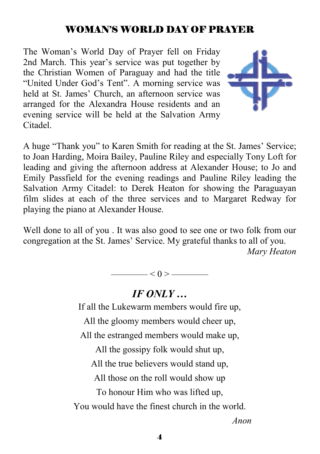## WOMAN'S WORLD DAY OF PRAYER

The Woman's World Day of Prayer fell on Friday 2nd March. This year's service was put together by the Christian Women of Paraguay and had the title "United Under God's Tent". A morning service was held at St. James' Church, an afternoon service was arranged for the Alexandra House residents and an evening service will be held at the Salvation Army Citadel.



A huge "Thank you" to Karen Smith for reading at the St. James' Service; to Joan Harding, Moira Bailey, Pauline Riley and especially Tony Loft for leading and giving the afternoon address at Alexander House; to Jo and Emily Passfield for the evening readings and Pauline Riley leading the Salvation Army Citadel: to Derek Heaton for showing the Paraguayan film slides at each of the three services and to Margaret Redway for playing the piano at Alexander House.

Well done to all of you . It was also good to see one or two folk from our congregation at the St. James' Service. My grateful thanks to all of you.

*Mary Heaton* 

 $< 0 >$  ——

#### *IF ONLY …*

If all the Lukewarm members would fire up,

All the gloomy members would cheer up,

All the estranged members would make up,

All the gossipy folk would shut up,

All the true believers would stand up,

All those on the roll would show up

To honour Him who was lifted up,

You would have the finest church in the world.

 *Anon*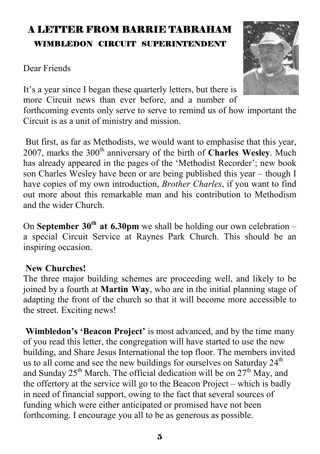## A LETTER FROM BARRIE TABRAHAM WIMBLEDON CIRCUIT SUPERINTENDENT

Dear Friends



It's a year since I began these quarterly letters, but there is more Circuit news than ever before, and a number of forthcoming events only serve to serve to remind us of how important the Circuit is as a unit of ministry and mission.

 But first, as far as Methodists, we would want to emphasise that this year, 2007, marks the 300<sup>th</sup> anniversary of the birth of **Charles Wesley**. Much has already appeared in the pages of the 'Methodist Recorder'; new book son Charles Wesley have been or are being published this year – though I have copies of my own introduction, *Brother Charles*, if you want to find out more about this remarkable man and his contribution to Methodism and the wider Church.

On **September 30<sup>th</sup> at 6.30pm** we shall be holding our own celebration – a special Circuit Service at Raynes Park Church. This should be an inspiring occasion.

#### **New Churches!**

The three major building schemes are proceeding well, and likely to be joined by a fourth at **Martin Way**, who are in the initial planning stage of adapting the front of the church so that it will become more accessible to the street. Exciting news!

**Wimbledon's 'Beacon Project'** is most advanced, and by the time many of you read this letter, the congregation will have started to use the new building, and Share Jesus International the top floor. The members invited us to all come and see the new buildings for ourselves on Saturday  $24<sup>th</sup>$ and Sunday  $25<sup>th</sup>$  March. The official dedication will be on  $27<sup>th</sup>$  May, and the offertory at the service will go to the Beacon Project – which is badly in need of financial support, owing to the fact that several sources of funding which were either anticipated or promised have not been forthcoming. I encourage you all to be as generous as possible.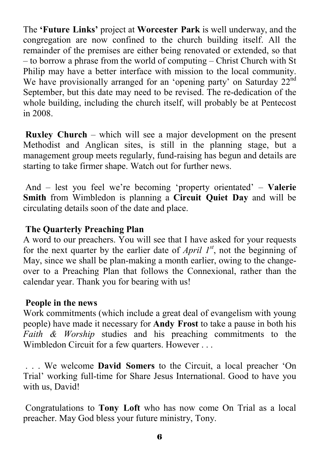The **'Future Links'** project at **Worcester Park** is well underway, and the congregation are now confined to the church building itself. All the remainder of the premises are either being renovated or extended, so that – to borrow a phrase from the world of computing – Christ Church with St Philip may have a better interface with mission to the local community. We have provisionally arranged for an 'opening party' on Saturday 22<sup>nd</sup> September, but this date may need to be revised. The re-dedication of the whole building, including the church itself, will probably be at Pentecost in 2008.

**Ruxley Church** – which will see a major development on the present Methodist and Anglican sites, is still in the planning stage, but a management group meets regularly, fund-raising has begun and details are starting to take firmer shape. Watch out for further news.

 And – lest you feel we're becoming 'property orientated' – **Valerie Smith** from Wimbledon is planning a **Circuit Quiet Day** and will be circulating details soon of the date and place.

#### **The Quarterly Preaching Plan**

A word to our preachers. You will see that I have asked for your requests for the next quarter by the earlier date of *April*  $I^{st}$ , not the beginning of May, since we shall be plan-making a month earlier, owing to the changeover to a Preaching Plan that follows the Connexional, rather than the calendar year. Thank you for bearing with us!

#### **People in the news**

Work commitments (which include a great deal of evangelism with young people) have made it necessary for **Andy Frost** to take a pause in both his *Faith & Worship* studies and his preaching commitments to the Wimbledon Circuit for a few quarters. However . . .

 . . . We welcome **David Somers** to the Circuit, a local preacher 'On Trial' working full-time for Share Jesus International. Good to have you with us, David!

 Congratulations to **Tony Loft** who has now come On Trial as a local preacher. May God bless your future ministry, Tony.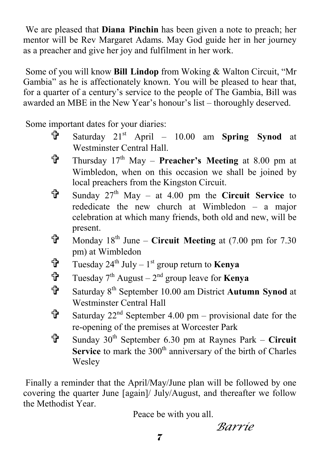We are pleased that **Diana Pinchin** has been given a note to preach; her mentor will be Rev Margaret Adams. May God guide her in her journey as a preacher and give her joy and fulfilment in her work.

 Some of you will know **Bill Lindop** from Woking & Walton Circuit, "Mr Gambia" as he is affectionately known. You will be pleased to hear that, for a quarter of a century's service to the people of The Gambia, Bill was awarded an MBE in the New Year's honour's list – thoroughly deserved.

Some important dates for your diaries:

- = Saturday 21st April 10.00 am **Spring Synod** at Westminster Central Hall.
- = Thursday 17th May **Preacher's Meeting** at 8.00 pm at Wimbledon, when on this occasion we shall be joined by local preachers from the Kingston Circuit.
- = Sunday 27th May at 4.00 pm the **Circuit Service** to rededicate the new church at Wimbledon – a major celebration at which many friends, both old and new, will be present.
- $\mathbf{\hat{T}}$  Monday 18<sup>th</sup> June **Circuit Meeting** at (7.00 pm for 7.30) pm) at Wimbledon
- $\mathbf{\hat{T}}$  Tuesday 24<sup>th</sup> July 1<sup>st</sup> group return to **Kenya**
- $\mathbf{\hat{T}}$  Tuesday 7<sup>th</sup> August 2<sup>nd</sup> group leave for **Kenya**
- = Saturday 8th September 10.00 am District **Autumn Synod** at Westminster Central Hall
- $\mathbf{\hat{F}}$  Saturday 22<sup>nd</sup> September 4.00 pm provisional date for the re-opening of the premises at Worcester Park
- = Sunday 30th September 6.30 pm at Raynes Park **Circuit**  Service to mark the 300<sup>th</sup> anniversary of the birth of Charles Wesley

 Finally a reminder that the April/May/June plan will be followed by one covering the quarter June [again]/ July/August, and thereafter we follow the Methodist Year.

Peace be with you all.

*Barrie*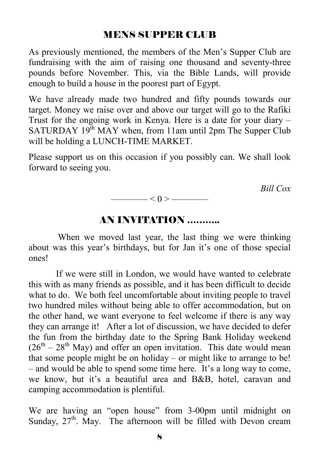#### MENS SUPPER CLUB

As previously mentioned, the members of the Men's Supper Club are fundraising with the aim of raising one thousand and seventy-three pounds before November. This, via the Bible Lands, will provide enough to build a house in the poorest part of Egypt.

We have already made two hundred and fifty pounds towards our target. Money we raise over and above our target will go to the Rafiki Trust for the ongoing work in Kenya. Here is a date for your diary – SATURDAY  $19<sup>th</sup>$  MAY when, from 11am until 2pm The Supper Club will be holding a LUNCH-TIME MARKET.

Please support us on this occasion if you possibly can. We shall look forward to seeing you.

 *Bill Cox* 



#### AN INVITATION ………..

 When we moved last year, the last thing we were thinking about was this year's birthdays, but for Jan it's one of those special ones!

 If we were still in London, we would have wanted to celebrate this with as many friends as possible, and it has been difficult to decide what to do. We both feel uncomfortable about inviting people to travel two hundred miles without being able to offer accommodation, but on the other hand, we want everyone to feel welcome if there is any way they can arrange it! After a lot of discussion, we have decided to defer the fun from the birthday date to the Spring Bank Holiday weekend  $(26<sup>th</sup> – 28<sup>th</sup>$  May) and offer an open invitation. This date would mean that some people might be on holiday – or might like to arrange to be! – and would be able to spend some time here. It's a long way to come, we know, but it's a beautiful area and B&B, hotel, caravan and camping accommodation is plentiful.

We are having an "open house" from 3-00pm until midnight on Sunday,  $27<sup>th</sup>$ . May. The afternoon will be filled with Devon cream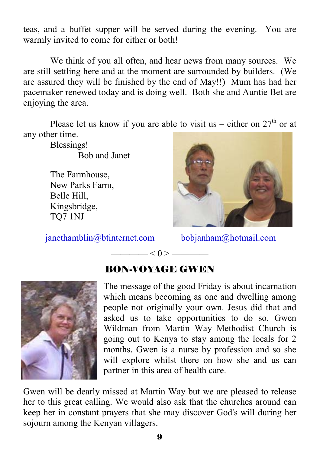teas, and a buffet supper will be served during the evening. You are warmly invited to come for either or both!

We think of you all often, and hear news from many sources. We are still settling here and at the moment are surrounded by builders. (We are assured they will be finished by the end of May!!) Mum has had her pacemaker renewed today and is doing well. Both she and Auntie Bet are enjoying the area.

Please let us know if you are able to visit us – either on  $27<sup>th</sup>$  or at any other time.

Blessings! Bob and Janet

The Farmhouse, New Parks Farm, Belle Hill, Kingsbridge, TQ7 1NJ

janethamblin@btinternet.com bobjanham@hotmail.com





## BON-VOYAGE GWEN

 $\leq 0$  >  $\leq$ 

The message of the good Friday is about incarnation which means becoming as one and dwelling among people not originally your own. Jesus did that and asked us to take opportunities to do so. Gwen Wildman from Martin Way Methodist Church is going out to Kenya to stay among the locals for 2 months. Gwen is a nurse by profession and so she will explore whilst there on how she and us can partner in this area of health care.

Gwen will be dearly missed at Martin Way but we are pleased to release her to this great calling. We would also ask that the churches around can keep her in constant prayers that she may discover God's will during her sojourn among the Kenyan villagers.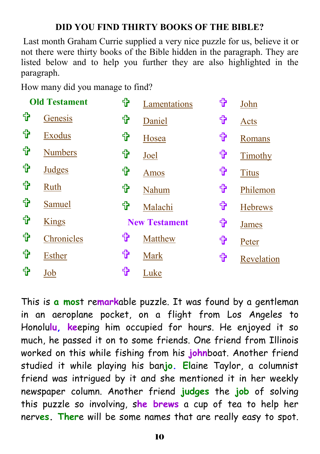#### **DID YOU FIND THIRTY BOOKS OF THE BIBLE?**

 Last month Graham Currie supplied a very nice puzzle for us, believe it or not there were thirty books of the Bible hidden in the paragraph. They are listed below and to help you further they are also highlighted in the paragraph.

How many did you manage to find?

| <b>Old Testament</b> |                | ╬ | Lamentations         | ╬ | John           |
|----------------------|----------------|---|----------------------|---|----------------|
| ╬                    | Genesis        | ╬ | Daniel               | ╬ | Acts           |
| ╬                    | <b>Exodus</b>  | ╬ | Hosea                | ╬ | Romans         |
| ╬                    | <b>Numbers</b> | ╬ | Joel                 | ╬ | Timothy        |
| ╬                    | <b>Judges</b>  | ╬ | Amos                 | ╬ | <b>Titus</b>   |
| ╬                    | Ruth           | ╬ | Nahum                | ╬ | Philemon       |
| ╬                    | Samuel         | ╬ | Malachi              | ╬ | <b>Hebrews</b> |
| ╬                    | <b>Kings</b>   |   | <b>New Testament</b> | ╬ | <b>James</b>   |
| ╬                    | Chronicles     | ╬ | Matthew              | ╬ | Peter          |
| 铅                    | <b>Esther</b>  | ╬ | Mark                 | ╬ | Revelation     |
| ╬                    | Job            | ╬ | Luke                 |   |                |

This is **a mos**t re**mark**able puzzle. It was found by a gentleman in an aeroplane pocket, on a flight from Los Angeles to Honolu**lu, ke**eping him occupied for hours. He enjoyed it so much, he passed it on to some friends. One friend from Illinois worked on this while fishing from his **john**boat. Another friend studied it while playing his ban**jo. El**aine Taylor, a columnist friend was intrigued by it and she mentioned it in her weekly newspaper column. Another friend **judges** the **job** of solving this puzzle so involving, s**he brews** a cup of tea to help her nerv**es. Ther**e will be some names that are really easy to spot.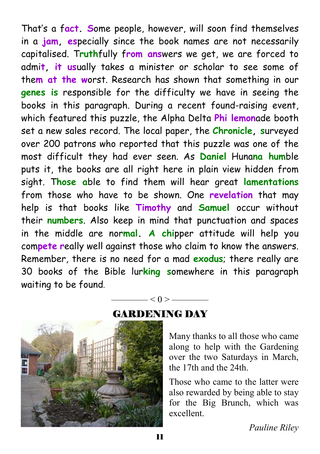That's a f**act. S**ome people, however, will soon find themselves in a **jam, es**pecially since the book names are not necessarily capitalised. T**ruth**fully f**rom ans**wers we get, we are forced to admi**t, it us**ually takes a minister or scholar to see some of the**m at the w**orst. Research has shown that something in our **genes is** responsible for the difficulty we have in seeing the books in this paragraph. During a recent found-raising event, which featured this puzzle, the Alpha Delta **Phi lemon**ade booth set a new sales record. The local paper, the **Chronicle, s**urveyed over 200 patrons who reported that this puzzle was one of the most difficult they had ever seen. As **Daniel** Huna**na hum**ble puts it, the books are all right here in plain view hidden from sight. T**hose a**ble to find them will hear great **lamentations** from those who have to be shown. One **revelation** that may help is that books like **Timothy** and **Samuel** occur without their **numbers**. Also keep in mind that punctuation and spaces in the middle are nor**mal. A chi**pper attitude will help you com**pete r**eally well against those who claim to know the answers. Remember, there is no need for a mad **exodus**; there really are 30 books of the Bible lur**king s**omewhere in this paragraph waiting to be found.



#### GARDENING DAY

 $< 0 > \underline{\hspace{1cm}}$ 

Many thanks to all those who came along to help with the Gardening over the two Saturdays in March, the 17th and the 24th.

Those who came to the latter were also rewarded by being able to stay for the Big Brunch, which was excellent.

*Pauline Riley*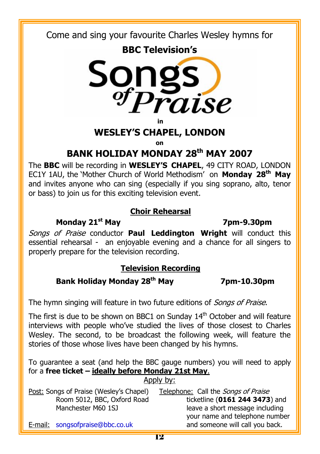Come and sing your favourite Charles Wesley hymns for





**in** 

#### **WESLEY'S CHAPEL, LONDON**

**on** 

## **BANK HOLIDAY MONDAY 28th MAY 2007**

The **BBC** will be recording in **WESLEY'S CHAPEL**, 49 CITY ROAD, LONDON EC1Y 1AU, the 'Mother Church of World Methodism' on **Monday 28th May**  and invites anyone who can sing (especially if you sing soprano, alto, tenor or bass) to join us for this exciting television event.

#### **Choir Rehearsal**

#### **Monday 21st May 7pm-9.30pm**

Songs of Praise conductor **Paul Leddington Wright** will conduct this essential rehearsal - an enjoyable evening and a chance for all singers to properly prepare for the television recording.

#### **Television Recording**

### **Bank Holiday Monday 28th May 7pm-10.30pm**

The hymn singing will feature in two future editions of *Songs of Praise*.

The first is due to be shown on BBC1 on Sunday  $14<sup>th</sup>$  October and will feature interviews with people who've studied the lives of those closest to Charles Wesley. The second, to be broadcast the following week, will feature the stories of those whose lives have been changed by his hymns.

To guarantee a seat (and help the BBC gauge numbers) you will need to apply for a **free ticket – ideally before Monday 21st May**. Apply by:

| Post: Songs of Praise (Wesley's Chapel) | Telephone: Call the <i>Songs of Praise</i> |
|-----------------------------------------|--------------------------------------------|
| Room 5012, BBC, Oxford Road             | ticketline (0161 244 3473) and             |
| Manchester M60 1SJ                      | leave a short message including            |
|                                         | your name and telephone number             |
| E-mail: songsofpraise@bbc.co.uk         | and someone will call you back.            |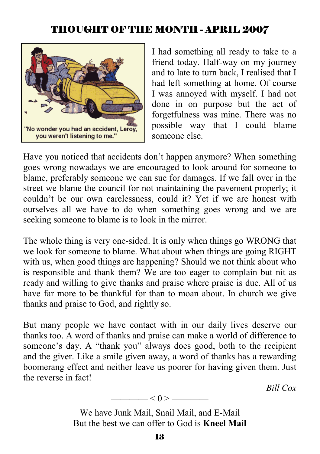## THOUGHT OF THE MONTH - APRIL 2007



I had something all ready to take to a friend today. Half-way on my journey and to late to turn back, I realised that I had left something at home. Of course I was annoyed with myself. I had not done in on purpose but the act of forgetfulness was mine. There was no possible way that I could blame someone else.

Have you noticed that accidents don't happen anymore? When something goes wrong nowadays we are encouraged to look around for someone to blame, preferably someone we can sue for damages. If we fall over in the street we blame the council for not maintaining the pavement properly; it couldn't be our own carelessness, could it? Yet if we are honest with ourselves all we have to do when something goes wrong and we are seeking someone to blame is to look in the mirror.

The whole thing is very one-sided. It is only when things go WRONG that we look for someone to blame. What about when things are going RIGHT with us, when good things are happening? Should we not think about who is responsible and thank them? We are too eager to complain but nit as ready and willing to give thanks and praise where praise is due. All of us have far more to be thankful for than to moan about. In church we give thanks and praise to God, and rightly so.

But many people we have contact with in our daily lives deserve our thanks too. A word of thanks and praise can make a world of difference to someone's day. A "thank you" always does good, both to the recipient and the giver. Like a smile given away, a word of thanks has a rewarding boomerang effect and neither leave us poorer for having given them. Just the reverse in fact!

*Bill Cox*

$$
\underbrace{\hspace{2.5cm}} <0> \underbrace{\hspace{2.5cm}}
$$

We have Junk Mail, Snail Mail, and E-Mail But the best we can offer to God is **Kneel Mail**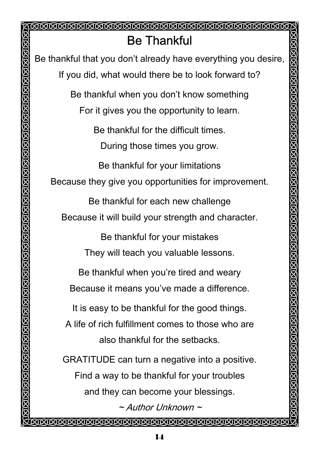A MARANA MARANA MARANA MARANA MARANA MARANA MARANA MARANA MARANA MARANA MARANA MARANA MARANA MARANA MARANA MAR Be Thankful Be thankful that you don't already have everything you desire, If you did, what would there be to look forward to? Be thankful when you don't know something For it gives you the opportunity to learn. Be thankful for the difficult times. During those times you grow. Be thankful for your limitations Because they give you opportunities for improvement. Be thankful for each new challenge Because it will build your strength and character. Be thankful for your mistakes They will teach you valuable lessons. Be thankful when you're tired and weary Because it means you've made a difference. It is easy to be thankful for the good things. A life of rich fulfillment comes to those who are also thankful for the setbacks. GRATITUDE can turn a negative into a positive. Find a way to be thankful for your troubles and they can become your blessings.  $\sim$  Author Unknown  $\sim$ INNANNANNANNANNANNAN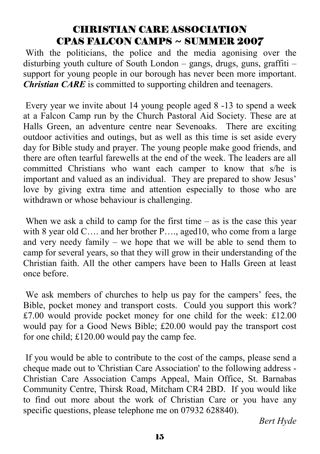## CHRISTIAN CARE ASSOCIATION CPAS FALCON CAMPS ~ SUMMER 2007

 With the politicians, the police and the media agonising over the disturbing youth culture of South London – gangs, drugs, guns, graffiti – support for young people in our borough has never been more important. *Christian CARE* is committed to supporting children and teenagers.

 Every year we invite about 14 young people aged 8 -13 to spend a week at a Falcon Camp run by the Church Pastoral Aid Society. These are at Halls Green, an adventure centre near Sevenoaks. There are exciting outdoor activities and outings, but as well as this time is set aside every day for Bible study and prayer. The young people make good friends, and there are often tearful farewells at the end of the week. The leaders are all committed Christians who want each camper to know that s/he is important and valued as an individual. They are prepared to show Jesus' love by giving extra time and attention especially to those who are withdrawn or whose behaviour is challenging.

When we ask a child to camp for the first time  $-$  as is the case this year with 8 year old C.... and her brother P...., aged 10, who come from a large and very needy family – we hope that we will be able to send them to camp for several years, so that they will grow in their understanding of the Christian faith. All the other campers have been to Halls Green at least once before.

 We ask members of churches to help us pay for the campers' fees, the Bible, pocket money and transport costs. Could you support this work? £7.00 would provide pocket money for one child for the week: £12.00 would pay for a Good News Bible; £20.00 would pay the transport cost for one child; £120.00 would pay the camp fee.

 If you would be able to contribute to the cost of the camps, please send a cheque made out to 'Christian Care Association' to the following address - Christian Care Association Camps Appeal, Main Office, St. Barnabas Community Centre, Thirsk Road, Mitcham CR4 2BD. If you would like to find out more about the work of Christian Care or you have any specific questions, please telephone me on 07932 628840).

*Bert Hyde*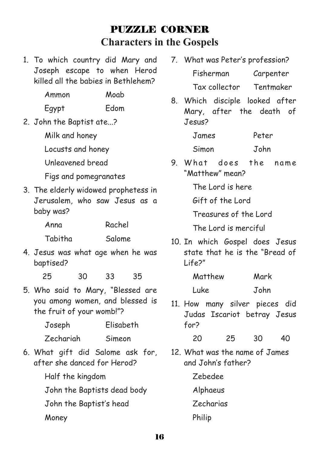# PUZZLE CORNER **Characters in the Gospels**

1. To which country did Mary and Joseph escape to when Herod killed all the babies in Bethlehem?

| Ammon | Moab |
|-------|------|
| Egypt | Edom |

- 2. John the Baptist ate...?
	- Milk and honey

Locusts and honey

Unleavened bread

Figs and pomegranates

3. The elderly widowed prophetess in Jerusalem, who saw Jesus as a baby was?

| Anna    | Rachel |
|---------|--------|
| Tabitha | Salome |

4. Jesus was what age when he was baptised?

25 30 33 35

5. Who said to Mary, "Blessed are you among women, and blessed is the fruit of your womb!"?

Joseph Elisabeth

- Zechariah Simeon
- 6. What gift did Salome ask for, after she danced for Herod?
	- Half the kingdom

John the Baptists dead body

John the Baptist's head

Money

- 7. What was Peter's profession? Fisherman Carpenter Tax collector Tentmaker
- 8. Which disciple looked after Mary, after the death of Jesus?

James Peter Simon John

9 What does the name "Matthew" mean?

The Lord is here

Gift of the Lord

Treasures of the Lord

The Lord is merciful

10. In which Gospel does Jesus state that he is the "Bread of Life?"

| Matthew | Mark |
|---------|------|
| Luke    | John |

11. How many silver pieces did Judas Iscariot betray Jesus for?

| 20 | 25 | 30 | 40 |
|----|----|----|----|
|    |    |    |    |

12. What was the name of James and John's father?

Zebedee

Alphaeus

Zecharias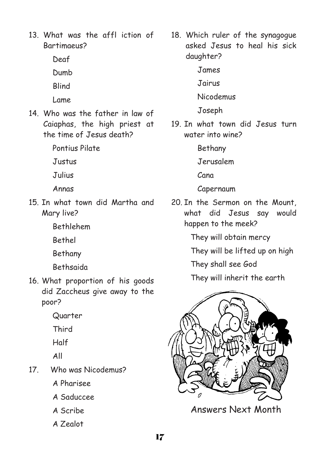- 13. What was the affl iction of Bartimaeus?
	- Deaf
	- Dumb
	- **Rlind**
	- Lame
- 14. Who was the father in law of Caiaphas, the high priest at the time of Jesus death?
	- Pontius Pilate
	- Justus
	- Julius
	- Annas
- 15. In what town did Martha and Mary live?
	- Bethlehem
	- Bethel
	- Bethany
	- Bethsaida
- 16. What proportion of his goods did Zaccheus give away to the poor?
	- Quarter
	- Third
	- Half
	- All
- 17. Who was Nicodemus?
	- A Pharisee
	- A Saduccee
	- A Scribe
	- A Zealot
- 18. Which ruler of the synagogue asked Jesus to heal his sick daughter?
	- James
	- Jairus
	- Nicodemus
	- Joseph
- 19. In what town did Jesus turn water into wine?
	- Bethany
	- Jerusalem
	- Cana
	- Capernaum
- 20. In the Sermon on the Mount, what did Jesus say would happen to the meek?
	- They will obtain mercy
	- They will be lifted up on high
	- They shall see God
	- They will inherit the earth



Answers Next Month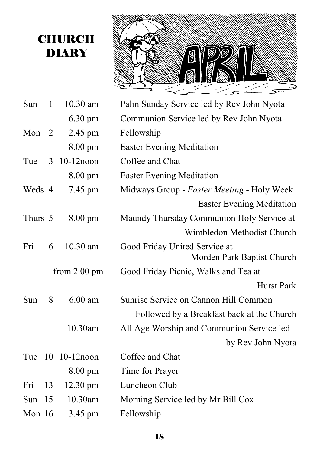# **CHURCH** DIARY



| Sun      | $\mathbf{1}$   | 10.30 am               | Palm Sunday Service led by Rev John Nyota  |
|----------|----------------|------------------------|--------------------------------------------|
|          |                | 6.30 pm                | Communion Service led by Rev John Nyota    |
| Mon      | $\overline{2}$ | 2.45 pm                | Fellowship                                 |
|          |                | 8.00 pm                | <b>Easter Evening Meditation</b>           |
| Tue      | 3              | $10-12$ noon           | Coffee and Chat                            |
|          |                | 8.00 pm                | <b>Easter Evening Meditation</b>           |
| Weds 4   |                | 7.45 pm                | Midways Group - Easter Meeting - Holy Week |
|          |                |                        | <b>Easter Evening Meditation</b>           |
| Thurs 5  |                | $8.00 \text{ pm}$      | Maundy Thursday Communion Holy Service at  |
|          |                |                        | Wimbledon Methodist Church                 |
| Fri      | 6              | 10.30 am               | Good Friday United Service at              |
|          |                |                        | Morden Park Baptist Church                 |
|          |                | from $2.00 \text{ pm}$ | Good Friday Picnic, Walks and Tea at       |
|          |                |                        | <b>Hurst Park</b>                          |
| Sun      | 8              | $6.00$ am              | Sunrise Service on Cannon Hill Common      |
|          |                |                        | Followed by a Breakfast back at the Church |
|          |                | 10.30am                | All Age Worship and Communion Service led  |
|          |                |                        | by Rev John Nyota                          |
| Tue      |                | 10 10-12 noon          | Coffee and Chat                            |
|          |                | 8.00 pm                | Time for Prayer                            |
| Fri      | 13             | $12.30$ pm             | Luncheon Club                              |
| Sun      | 15             | 10.30am                | Morning Service led by Mr Bill Cox         |
| Mon $16$ |                | 3.45 pm                | Fellowship                                 |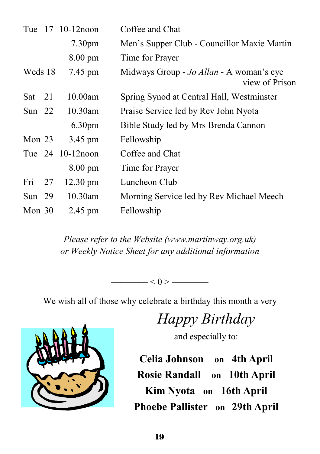| Tue      |    | $17 \quad 10-12$ noon | Coffee and Chat                                            |
|----------|----|-----------------------|------------------------------------------------------------|
|          |    | 7.30pm                | Men's Supper Club - Councillor Maxie Martin                |
|          |    | 8.00 pm               | Time for Prayer                                            |
| Weds 18  |    | 7.45 pm               | Midways Group - Jo Allan - A woman's eye<br>view of Prison |
| Sat      | 21 | 10.00am               | Spring Synod at Central Hall, Westminster                  |
| Sun $22$ |    | 10.30am               | Praise Service led by Rev John Nyota                       |
|          |    | 6.30 <sub>pm</sub>    | Bible Study led by Mrs Brenda Cannon                       |
| Mon $23$ |    | 3.45 pm               | Fellowship                                                 |
|          |    | Tue 24 10-12 noon     | Coffee and Chat                                            |
|          |    | $8.00 \text{ pm}$     | Time for Prayer                                            |
| Fri      | 27 | $12.30 \text{ pm}$    | Luncheon Club                                              |
| Sun $29$ |    | 10.30am               | Morning Service led by Rev Michael Meech                   |
| Mon $30$ |    | $2.45$ pm             | Fellowship                                                 |

*Please refer to the Website (www.martinway.org.uk) or Weekly Notice Sheet for any additional information* 

 $\leq 0$  >  $\qquad$ 

We wish all of those why celebrate a birthday this month a very



*Happy Birthday* 

and especially to:

**Celia Johnson on 4th April Rosie Randall on 10th April Kim Nyota on 16th April Phoebe Pallister on 29th April**